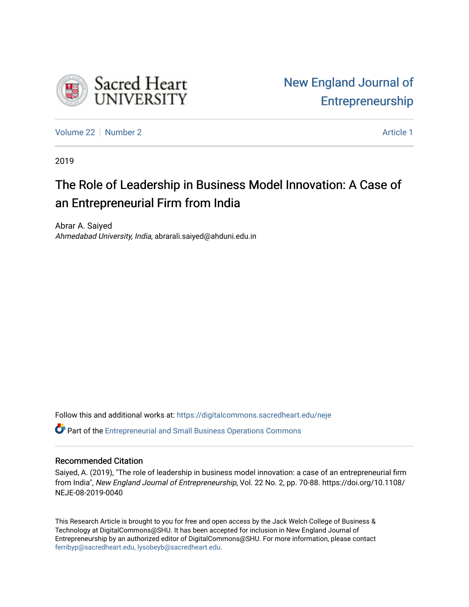

[Volume 22](https://digitalcommons.sacredheart.edu/neje/vol22) [Number 2](https://digitalcommons.sacredheart.edu/neje/vol22/iss2) Article 1

2019

# The Role of Leadership in Business Model Innovation: A Case of an Entrepreneurial Firm from India

Abrar A. Saiyed Ahmedabad University, India, abrarali.saiyed@ahduni.edu.in

Follow this and additional works at: [https://digitalcommons.sacredheart.edu/neje](https://digitalcommons.sacredheart.edu/neje?utm_source=digitalcommons.sacredheart.edu%2Fneje%2Fvol22%2Fiss2%2F1&utm_medium=PDF&utm_campaign=PDFCoverPages) 

Part of the [Entrepreneurial and Small Business Operations Commons](http://network.bepress.com/hgg/discipline/630?utm_source=digitalcommons.sacredheart.edu%2Fneje%2Fvol22%2Fiss2%2F1&utm_medium=PDF&utm_campaign=PDFCoverPages) 

# Recommended Citation

Saiyed, A. (2019), "The role of leadership in business model innovation: a case of an entrepreneurial firm from India", New England Journal of Entrepreneurship, Vol. 22 No. 2, pp. 70-88. https://doi.org/10.1108/ NEJE-08-2019-0040

This Research Article is brought to you for free and open access by the Jack Welch College of Business & Technology at DigitalCommons@SHU. It has been accepted for inclusion in New England Journal of Entrepreneurship by an authorized editor of DigitalCommons@SHU. For more information, please contact [ferribyp@sacredheart.edu, lysobeyb@sacredheart.edu.](mailto:ferribyp@sacredheart.edu,%20lysobeyb@sacredheart.edu)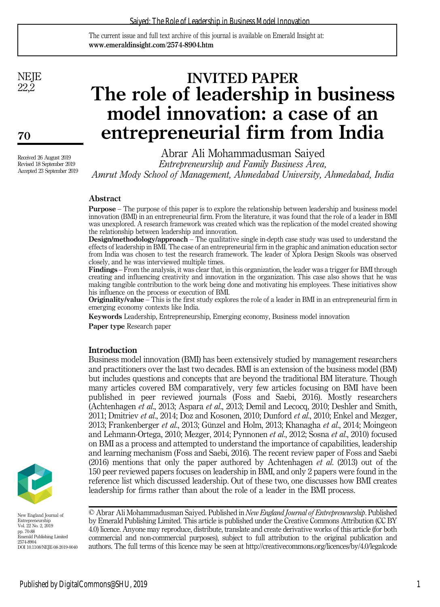#### Saiyed: The Role of Leadership in Business Model Innovation

The current issue and full text archive of this journal is available on Emerald Insight at: www.emeraldinsight.com/2574-8904.htm

**NEJE** 22,2

70

Received 26 August 2019 Revised 18 September 2019 Accepted 23 September 2019

# **INVITED PAPER** The role of leadership in business model innovation: a case of an entrepreneurial firm from India

Abrar Ali Mohammadusman Saiyed Entrepreneurship and Family Business Area, Amrut Mody School of Management, Ahmedabad University, Ahmedabad, India

## Abstract

Purpose – The purpose of this paper is to explore the relationship between leadership and business model innovation (BMI) in an entrepreneurial firm. From the literature, it was found that the role of a leader in BMI was unexplored. A research framework was created which was the replication of the model created showing the relationship between leadership and innovation.

Design/methodology/approach – The qualitative single in-depth case study was used to understand the effects of leadership in BMI. The case of an entrepreneurial firm in the graphic and animation education sector from India was chosen to test the research framework. The leader of Xplora Design Skools was observed closely, and he was interviewed multiple times.

Findings – From the analysis, it was clear that, in this organization, the leader was a trigger for BMI through creating and influencing creativity and innovation in the organization. This case also shows that he was making tangible contribution to the work being done and motivating his employees. These initiatives show his influence on the process or execution of BMI.

Originality/value – This is the first study explores the role of a leader in BMI in an entrepreneurial firm in emerging economy contexts like India.

Keywords Leadership, Entrepreneurship, Emerging economy, Business model innovation

Paper type Research paper

## Introduction

Business model innovation (BMI) has been extensively studied by management researchers and practitioners over the last two decades. BMI is an extension of the business model (BM) but includes questions and concepts that are beyond the traditional BM literature. Though many articles covered BM comparatively, very few articles focusing on BMI have been published in peer reviewed journals (Foss and Saebi, 2016). Mostly researchers (Achtenhagen et al., 2013; Aspara et al., 2013; Demil and Lecocq, 2010; Deshler and Smith, 2011; Dmitriev et al., 2014; Doz and Kosonen, 2010; Dunford et al., 2010; Enkel and Mezger, 2013; Frankenberger et al., 2013; Günzel and Holm, 2013; Khanagha et al., 2014; Moingeon and Lehmann-Ortega, 2010; Mezger, 2014; Pynnonen et al., 2012; Sosna et al., 2010) focused on BMI as a process and attempted to understand the importance of capabilities, leadership and learning mechanism (Foss and Saebi, 2016). The recent review paper of Foss and Saebi  $(2016)$  mentions that only the paper authored by Achtenhagen *et al.* (2013) out of the 150 peer reviewed papers focuses on leadership in BMI, and only 2 papers were found in the reference list which discussed leadership. Out of these two, one discusses how BMI creates leadership for firms rather than about the role of a leader in the BMI process.



New England Journal of Entrepreneurship Vol. 22 No. 2, 2019 pp. 70-88 Emerald Publishing Limited 2574-8904 DOI 10.1108/NEJE-08-2019-0040

© Abrar Ali Mohammadusman Saiyed. Published in New England Journal of Entrepreneurship. Published by Emerald Publishing Limited. This article is published under the Creative Commons Attribution (CC BY 4.0) licence. Anyone may reproduce, distribute, translate and create derivative works of this article (for both commercial and non-commercial purposes), subject to full attribution to the original publication and authors. The full terms of this licence may be seen at<http://creativecommons.org/licences/by/4.0/legalcode>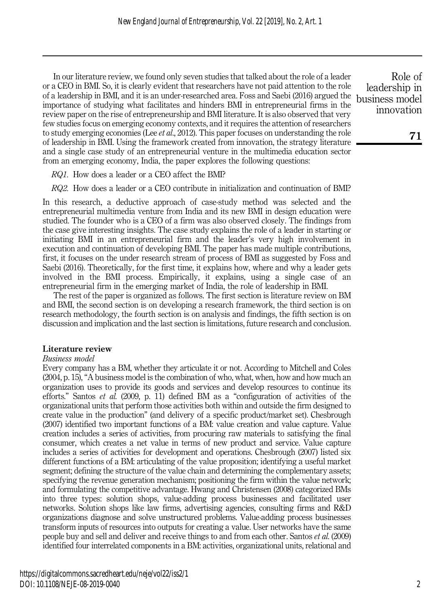In our literature review, we found only seven studies that talked about the role of a leader or a CEO in BMI. So, it is clearly evident that researchers have not paid attention to the role of a leadership in BMI, and it is an under-researched area. Foss and Saebi (2016) argued the importance of studying what facilitates and hinders BMI in entrepreneurial firms in the review paper on the rise of entrepreneurship and BMI literature. It is also observed that very few studies focus on emerging economy contexts, and it requires the attention of researchers to study emerging economies (Lee *et al.*, 2012). This paper focuses on understanding the role of leadership in BMI. Using the framework created from innovation, the strategy literature and a single case study of an entrepreneurial venture in the multimedia education sector from an emerging economy, India, the paper explores the following questions:

RQ1. How does a leader or a CEO affect the BMI?

RQ2. How does a leader or a CEO contribute in initialization and continuation of BMI?

In this research, a deductive approach of case-study method was selected and the entrepreneurial multimedia venture from India and its new BMI in design education were studied. The founder who is a CEO of a firm was also observed closely. The findings from the case give interesting insights. The case study explains the role of a leader in starting or initiating BMI in an entrepreneurial firm and the leader's very high involvement in execution and continuation of developing BMI. The paper has made multiple contributions, first, it focuses on the under research stream of process of BMI as suggested by Foss and Saebi (2016). Theoretically, for the first time, it explains how, where and why a leader gets involved in the BMI process. Empirically, it explains, using a single case of an entrepreneurial firm in the emerging market of India, the role of leadership in BMI.

The rest of the paper is organized as follows. The first section is literature review on BM and BMI, the second section is on developing a research framework, the third section is on research methodology, the fourth section is on analysis and findings, the fifth section is on discussion and implication and the last section is limitations, future research and conclusion.

## Literature review

#### Business model

Every company has a BM, whether they articulate it or not. According to Mitchell and Coles (2004, p. 15), "A business model is the combination of who, what, when, how and how much an organization uses to provide its goods and services and develop resources to continue its efforts." Santos et al. (2009, p. 11) defined BM as a "configuration of activities of the organizational units that perform those activities both within and outside the firm designed to create value in the production" (and delivery of a specific product/market set). Chesbrough (2007) identified two important functions of a BM: value creation and value capture. Value creation includes a series of activities, from procuring raw materials to satisfying the final consumer, which creates a net value in terms of new product and service. Value capture includes a series of activities for development and operations. Chesbrough (2007) listed six different functions of a BM: articulating of the value proposition; identifying a useful market segment; defining the structure of the value chain and determining the complementary assets; specifying the revenue generation mechanism; positioning the firm within the value network; and formulating the competitive advantage. Hwang and Christensen (2008) categorized BMs into three types: solution shops, value-adding process businesses and facilitated user networks. Solution shops like law firms, advertising agencies, consulting firms and R&D organizations diagnose and solve unstructured problems. Value-adding process businesses transform inputs of resources into outputs for creating a value. User networks have the same people buy and sell and deliver and receive things to and from each other. Santos et al. (2009) identified four interrelated components in a BM: activities, organizational units, relational and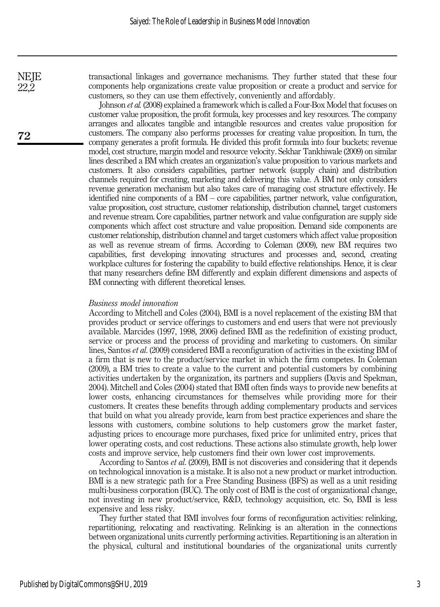transactional linkages and governance mechanisms. They further stated that these four components help organizations create value proposition or create a product and service for customers, so they can use them effectively, conveniently and affordably.

Johnson et al. (2008) explained a framework which is called a Four-Box Model that focuses on customer value proposition, the profit formula, key processes and key resources. The company arranges and allocates tangible and intangible resources and creates value proposition for customers. The company also performs processes for creating value proposition. In turn, the company generates a profit formula. He divided this profit formula into four buckets: revenue model, cost structure, margin model and resource velocity. Sekhar Tankhiwale (2009) on similar lines described a BM which creates an organization's value proposition to various markets and customers. It also considers capabilities, partner network (supply chain) and distribution channels required for creating, marketing and delivering this value. A BM not only considers revenue generation mechanism but also takes care of managing cost structure effectively. He identified nine components of a BM – core capabilities, partner network, value configuration, value proposition, cost structure, customer relationship, distribution channel, target customers and revenue stream. Core capabilities, partner network and value configuration are supply side components which affect cost structure and value proposition. Demand side components are customer relationship, distribution channel and target customers which affect value proposition as well as revenue stream of firms. According to Coleman (2009), new BM requires two capabilities, first developing innovating structures and processes and, second, creating workplace cultures for fostering the capability to build effective relationships. Hence, it is clear that many researchers define BM differently and explain different dimensions and aspects of BM connecting with different theoretical lenses.

#### Business model innovation

According to Mitchell and Coles (2004), BMI is a novel replacement of the existing BM that provides product or service offerings to customers and end users that were not previously available. Marcides (1997, 1998, 2006) defined BMI as the redefinition of existing product, service or process and the process of providing and marketing to customers. On similar lines, Santos et al. (2009) considered BMI a reconfiguration of activities in the existing BM of a firm that is new to the product/service market in which the firm competes. In Coleman (2009), a BM tries to create a value to the current and potential customers by combining activities undertaken by the organization, its partners and suppliers (Davis and Spekman, 2004). Mitchell and Coles (2004) stated that BMI often finds ways to provide new benefits at lower costs, enhancing circumstances for themselves while providing more for their customers. It creates these benefits through adding complementary products and services that build on what you already provide, learn from best practice experiences and share the lessons with customers, combine solutions to help customers grow the market faster, adjusting prices to encourage more purchases, fixed price for unlimited entry, prices that lower operating costs, and cost reductions. These actions also stimulate growth, help lower costs and improve service, help customers find their own lower cost improvements.

According to Santos et al. (2009), BMI is not discoveries and considering that it depends on technological innovation is a mistake. It is also not a new product or market introduction. BMI is a new strategic path for a Free Standing Business (BFS) as well as a unit residing multi-business corporation (BUC). The only cost of BMI is the cost of organizational change, not investing in new product/service, R&D, technology acquisition, etc. So, BMI is less expensive and less risky.

They further stated that BMI involves four forms of reconfiguration activities: relinking, repartitioning, relocating and reactivating. Relinking is an alteration in the connections between organizational units currently performing activities. Repartitioning is an alteration in the physical, cultural and institutional boundaries of the organizational units currently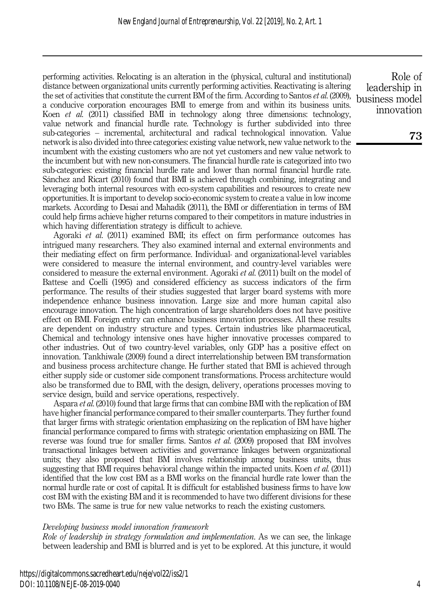performing activities. Relocating is an alteration in the (physical, cultural and institutional) distance between organizational units currently performing activities. Reactivating is altering the set of activities that constitute the current BM of the firm. According to Santos et al. (2009), a conducive corporation encourages BMI to emerge from and within its business units. Koen et al. (2011) classified BMI in technology along three dimensions: technology, value network and financial hurdle rate. Technology is further subdivided into three sub-categories – incremental, architectural and radical technological innovation. Value network is also divided into three categories: existing value network, new value network to the incumbent with the existing customers who are not yet customers and new value network to the incumbent but with new non-consumers. The financial hurdle rate is categorized into two sub-categories: existing financial hurdle rate and lower than normal financial hurdle rate. Sánchez and Ricart (2010) found that BMI is achieved through combining, integrating and leveraging both internal resources with eco-system capabilities and resources to create new opportunities. It is important to develop socio-economic system to create a value in low income markets. According to Desai and Mahadik (2011), the BMI or differentiation in terms of BM could help firms achieve higher returns compared to their competitors in mature industries in which having differentiation strategy is difficult to achieve.

Agoraki et al. (2011) examined BMI; its effect on firm performance outcomes has intrigued many researchers. They also examined internal and external environments and their mediating effect on firm performance. Individual- and organizational-level variables were considered to measure the internal environment, and country-level variables were considered to measure the external environment. Agoraki *et al.* (2011) built on the model of Battese and Coelli (1995) and considered efficiency as success indicators of the firm performance. The results of their studies suggested that larger board systems with more independence enhance business innovation. Large size and more human capital also encourage innovation. The high concentration of large shareholders does not have positive effect on BMI. Foreign entry can enhance business innovation processes. All these results are dependent on industry structure and types. Certain industries like pharmaceutical, Chemical and technology intensive ones have higher innovative processes compared to other industries. Out of two country-level variables, only GDP has a positive effect on innovation. Tankhiwale (2009) found a direct interrelationship between BM transformation and business process architecture change. He further stated that BMI is achieved through either supply side or customer side component transformations. Process architecture would also be transformed due to BMI, with the design, delivery, operations processes moving to service design, build and service operations, respectively.

Aspara et al. (2010) found that large firms that can combine BMI with the replication of BM have higher financial performance compared to their smaller counterparts. They further found that larger firms with strategic orientation emphasizing on the replication of BM have higher financial performance compared to firms with strategic orientation emphasizing on BMI. The reverse was found true for smaller firms. Santos *et al.* (2009) proposed that BM involves transactional linkages between activities and governance linkages between organizational units; they also proposed that BM involves relationship among business units, thus suggesting that BMI requires behavioral change within the impacted units. Koen et al. (2011) identified that the low cost BM as a BMI works on the financial hurdle rate lower than the normal hurdle rate or cost of capital. It is difficult for established business firms to have low cost BM with the existing BM and it is recommended to have two different divisions for these two BMs. The same is true for new value networks to reach the existing customers.

#### Developing business model innovation framework

Role of leadership in strategy formulation and implementation. As we can see, the linkage between leadership and BMI is blurred and is yet to be explored. At this juncture, it would

Role of leadership in business model innovation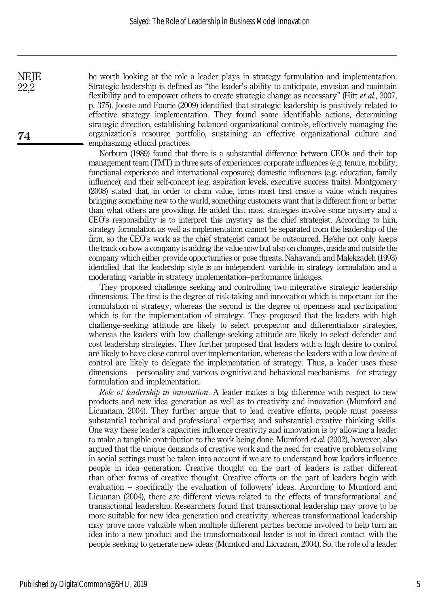be worth looking at the role a leader plays in strategy formulation and implementation. Strategic leadership is defined as "the leader's ability to anticipate, envision and maintain flexibility and to empower others to create strategic change as necessary" (Hitt  $et al., 2007$ , p. 375). Jooste and Fourie (2009) identified that strategic leadership is positively related to effective strategy implementation. They found some identifiable actions, determining strategic direction, establishing balanced organizational controls, effectively managing the organization's resource portfolio, sustaining an effective organizational culture and emphasizing ethical practices.

Norburn (1989) found that there is a substantial difference between CEOs and their top management team (TMT) in three sets of experiences: corporate influences (e.g. tenure, mobility, functional experience and international exposure); domestic influences (e.g. education, family influence); and their self-concept (e.g. aspiration levels, executive success traits). Montgomery (2008) stated that, in order to claim value, firms must first create a value which requires bringing something new to the world, something customers want that is different from or better than what others are providing. He added that most strategies involve some mystery and a CEO's responsibility is to interpret this mystery as the chief strategist. According to him, strategy formulation as well as implementation cannot be separated from the leadership of the firm, so the CEO's work as the chief strategist cannot be outsourced. He/she not only keeps the track on how a company is adding the value now but also on changes, inside and outside the company which either provide opportunities or pose threats. Nahavandi and Malekzadeh (1993) identified that the leadership style is an independent variable in strategy formulation and a moderating variable in strategy implementation–performance linkages.

They proposed challenge seeking and controlling two integrative strategic leadership dimensions. The first is the degree of risk-taking and innovation which is important for the formulation of strategy, whereas the second is the degree of openness and participation which is for the implementation of strategy. They proposed that the leaders with high challenge-seeking attitude are likely to select prospector and differentiation strategies, whereas the leaders with low challenge-seeking attitude are likely to select defender and cost leadership strategies. They further proposed that leaders with a high desire to control are likely to have close control over implementation, whereas the leaders with a low desire of control are likely to delegate the implementation of strategy. Thus, a leader uses these dimensions – personality and various cognitive and behavioral mechanisms –for strategy formulation and implementation.

Role of leadership in innovation. A leader makes a big difference with respect to new products and new idea generation as well as to creativity and innovation (Mumford and Licuanam, 2004). They further argue that to lead creative efforts, people must possess substantial technical and professional expertise; and substantial creative thinking skills. One way these leader's capacities influence creativity and innovation is by allowing a leader to make a tangible contribution to the work being done. Mumford *et al.* (2002), however, also argued that the unique demands of creative work and the need for creative problem solving in social settings must be taken into account if we are to understand how leaders influence people in idea generation. Creative thought on the part of leaders is rather different than other forms of creative thought. Creative efforts on the part of leaders begin with evaluation – specifically the evaluation of followers' ideas. According to Mumford and Licuanan (2004), there are different views related to the effects of transformational and transactional leadership. Researchers found that transactional leadership may prove to be more suitable for new idea generation and creativity, whereas transformational leadership may prove more valuable when multiple different parties become involved to help turn an idea into a new product and the transformational leader is not in direct contact with the people seeking to generate new ideas (Mumford and Licuanan, 2004). So, the role of a leader

22,2

**NEJE**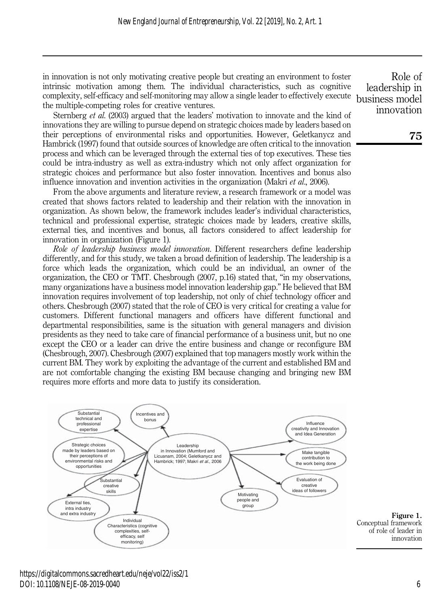in innovation is not only motivating creative people but creating an environment to foster intrinsic motivation among them. The individual characteristics, such as cognitive complexity, self-efficacy and self-monitoring may allow a single leader to effectively execute the multiple-competing roles for creative ventures.

Sternberg *et al.* (2003) argued that the leaders' motivation to innovate and the kind of innovations they are willing to pursue depend on strategic choices made by leaders based on their perceptions of environmental risks and opportunities. However, Geletkanycz and Hambrick (1997) found that outside sources of knowledge are often critical to the innovation process and which can be leveraged through the external ties of top executives. These ties could be intra-industry as well as extra-industry which not only affect organization for strategic choices and performance but also foster innovation. Incentives and bonus also influence innovation and invention activities in the organization (Makri et al., 2006).

From the above arguments and literature review, a research framework or a model was created that shows factors related to leadership and their relation with the innovation in organization. As shown below, the framework includes leader's individual characteristics, technical and professional expertise, strategic choices made by leaders, creative skills, external ties, and incentives and bonus, all factors considered to affect leadership for innovation in organization (Figure 1).

Role of leadership business model innovation. Different researchers define leadership differently, and for this study, we taken a broad definition of leadership. The leadership is a force which leads the organization, which could be an individual, an owner of the organization, the CEO or TMT. Chesbrough (2007, p.16) stated that, "in my observations, many organizations have a business model innovation leadership gap." He believed that BM innovation requires involvement of top leadership, not only of chief technology officer and others. Chesbrough (2007) stated that the role of CEO is very critical for creating a value for customers. Different functional managers and officers have different functional and departmental responsibilities, same is the situation with general managers and division presidents as they need to take care of financial performance of a business unit, but no one except the CEO or a leader can drive the entire business and change or reconfigure BM (Chesbrough, 2007). Chesbrough (2007) explained that top managers mostly work within the current BM. They work by exploiting the advantage of the current and established BM and are not comfortable changing the existing BM because changing and bringing new BM requires more efforts and more data to justify its consideration.



Role of leadership in business model innovation

https://digitalcommons.sacredheart.edu/neje/vol22/iss2/1 DOI: 10.1108/NEJE-08-2019-0040

of role of leader in innovation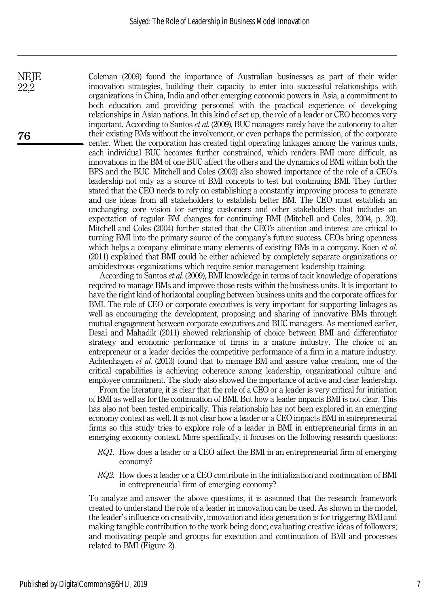Coleman (2009) found the importance of Australian businesses as part of their wider innovation strategies, building their capacity to enter into successful relationships with organizations in China, India and other emerging economic powers in Asia, a commitment to both education and providing personnel with the practical experience of developing relationships in Asian nations. In this kind of set up, the role of a leader or CEO becomes very important. According to Santos et al. (2009), BUC managers rarely have the autonomy to alter their existing BMs without the involvement, or even perhaps the permission, of the corporate center. When the corporation has created tight operating linkages among the various units, each individual BUC becomes further constrained, which renders BMI more difficult, as innovations in the BM of one BUC affect the others and the dynamics of BMI within both the BFS and the BUC. Mitchell and Coles (2003) also showed importance of the role of a CEO's leadership not only as a source of BMI concepts to test but continuing BMI. They further stated that the CEO needs to rely on establishing a constantly improving process to generate and use ideas from all stakeholders to establish better BM. The CEO must establish an unchanging core vision for serving customers and other stakeholders that includes an expectation of regular BM changes for continuing BMI (Mitchell and Coles, 2004, p. 20). Mitchell and Coles (2004) further stated that the CEO's attention and interest are critical to turning BMI into the primary source of the company's future success. CEOs bring openness which helps a company eliminate many elements of existing BMs in a company. Koen *et al.* (2011) explained that BMI could be either achieved by completely separate organizations or ambidextrous organizations which require senior management leadership training.

According to Santos et al. (2009), BMI knowledge in terms of tacit knowledge of operations required to manage BMs and improve those rests within the business units. It is important to have the right kind of horizontal coupling between business units and the corporate offices for BMI. The role of CEO or corporate executives is very important for supporting linkages as well as encouraging the development, proposing and sharing of innovative BMs through mutual engagement between corporate executives and BUC managers. As mentioned earlier, Desai and Mahadik (2011) showed relationship of choice between BMI and differentiator strategy and economic performance of firms in a mature industry. The choice of an entrepreneur or a leader decides the competitive performance of a firm in a mature industry. Achtenhagen et al. (2013) found that to manage BM and assure value creation, one of the critical capabilities is achieving coherence among leadership, organizational culture and employee commitment. The study also showed the importance of active and clear leadership.

From the literature, it is clear that the role of a CEO or a leader is very critical for initiation of BMI as well as for the continuation of BMI. But how a leader impacts BMI is not clear. This has also not been tested empirically. This relationship has not been explored in an emerging economy context as well. It is not clear how a leader or a CEO impacts BMI in entrepreneurial firms so this study tries to explore role of a leader in BMI in entrepreneurial firms in an emerging economy context. More specifically, it focuses on the following research questions:

- RQ1. How does a leader or a CEO affect the BMI in an entrepreneurial firm of emerging economy?
- RQ2. How does a leader or a CEO contribute in the initialization and continuation of BMI in entrepreneurial firm of emerging economy?

To analyze and answer the above questions, it is assumed that the research framework created to understand the role of a leader in innovation can be used. As shown in the model, the leader's influence on creativity, innovation and idea generation is for triggering BMI and making tangible contribution to the work being done; evaluating creative ideas of followers; and motivating people and groups for execution and continuation of BMI and processes related to BMI (Figure 2).

76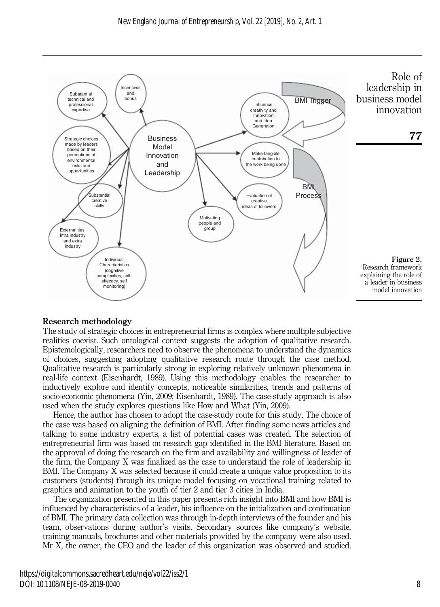

## Research methodology

The study of strategic choices in entrepreneurial firms is complex where multiple subjective realities coexist. Such ontological context suggests the adoption of qualitative research. Epistemologically, researchers need to observe the phenomena to understand the dynamics of choices, suggesting adopting qualitative research route through the case method. Qualitative research is particularly strong in exploring relatively unknown phenomena in real-life context (Eisenhardt, 1989). Using this methodology enables the researcher to inductively explore and identify concepts, noticeable similarities, trends and patterns of socio-economic phenomena (Yin, 2009; Eisenhardt, 1989). The case-study approach is also used when the study explores questions like How and What (Yin, 2009).

Hence, the author has chosen to adopt the case-study route for this study. The choice of the case was based on aligning the definition of BMI. After finding some news articles and talking to some industry experts, a list of potential cases was created. The selection of entrepreneurial firm was based on research gap identified in the BMI literature. Based on the approval of doing the research on the firm and availability and willingness of leader of the firm, the Company X was finalized as the case to understand the role of leadership in BMI. The Company X was selected because it could create a unique value proposition to its customers (students) through its unique model focusing on vocational training related to graphics and animation to the youth of tier 2 and tier 3 cities in India.

The organization presented in this paper presents rich insight into BMI and how BMI is influenced by characteristics of a leader, his influence on the initialization and continuation of BMI. The primary data collection was through in-depth interviews of the founder and his team, observations during author's visits. Secondary sources like company's website, training manuals, brochures and other materials provided by the company were also used. Mr X, the owner, the CEO and the leader of this organization was observed and studied.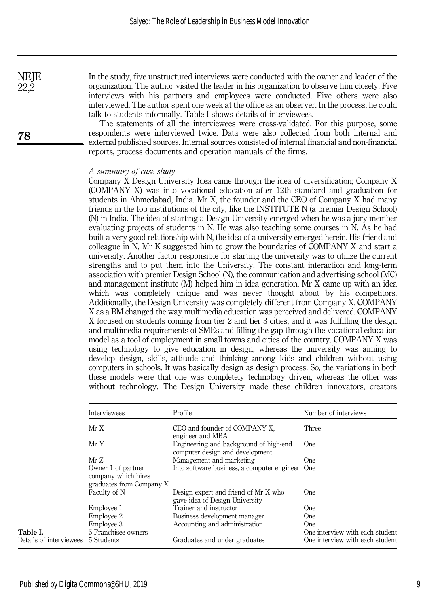In the study, five unstructured interviews were conducted with the owner and leader of the organization. The author visited the leader in his organization to observe him closely. Five interviews with his partners and employees were conducted. Five others were also interviewed. The author spent one week at the office as an observer. In the process, he could talk to students informally. Table I shows details of interviewees.

The statements of all the interviewees were cross-validated. For this purpose, some respondents were interviewed twice. Data were also collected from both internal and external published sources. Internal sources consisted of internal financial and non-financial reports, process documents and operation manuals of the firms.

#### A summary of case study

Company X Design University Idea came through the idea of diversification; Company X (COMPANY X) was into vocational education after 12th standard and graduation for students in Ahmedabad, India. Mr X, the founder and the CEO of Company X had many friends in the top institutions of the city, like the INSTITUTE N (a premier Design School) (N) in India. The idea of starting a Design University emerged when he was a jury member evaluating projects of students in N. He was also teaching some courses in N. As he had built a very good relationship with N, the idea of a university emerged herein. His friend and colleague in N, Mr K suggested him to grow the boundaries of COMPANY X and start a university. Another factor responsible for starting the university was to utilize the current strengths and to put them into the University. The constant interaction and long-term association with premier Design School (N), the communication and advertising school (MC) and management institute (M) helped him in idea generation. Mr X came up with an idea which was completely unique and was never thought about by his competitors. Additionally, the Design University was completely different from Company X. COMPANY X as a BM changed the way multimedia education was perceived and delivered. COMPANY X focused on students coming from tier 2 and tier 3 cities, and it was fulfilling the design and multimedia requirements of SMEs and filling the gap through the vocational education model as a tool of employment in small towns and cities of the country. COMPANY X was using technology to give education in design, whereas the university was aiming to develop design, skills, attitude and thinking among kids and children without using computers in schools. It was basically design as design process. So, the variations in both these models were that one was completely technology driven, whereas the other was without technology. The Design University made these children innovators, creators

|                         | Interviewees                                                          | Profile                                                                   | Number of interviews                    |
|-------------------------|-----------------------------------------------------------------------|---------------------------------------------------------------------------|-----------------------------------------|
|                         | Mr X                                                                  | CEO and founder of COMPANY X,<br>engineer and MBA                         | Three                                   |
|                         | Mr Y                                                                  | Engineering and background of high-end<br>computer design and development | One.                                    |
|                         | MrZ                                                                   | Management and marketing                                                  | <b>One</b>                              |
|                         | Owner 1 of partner<br>company which hires<br>graduates from Company X | Into software business, a computer engineer One                           |                                         |
|                         | Faculty of N                                                          | Design expert and friend of Mr X who<br>gave idea of Design University    | One.                                    |
|                         | Employee 1                                                            | Trainer and instructor                                                    | One.                                    |
|                         | Employee 2                                                            | Business development manager                                              | <b>One</b>                              |
| Table I.                | Employee 3<br>5 Franchisee owners                                     | Accounting and administration                                             | One.<br>One interview with each student |
| Details of interviewees | 5 Students                                                            | Graduates and under graduates                                             | One interview with each student         |

78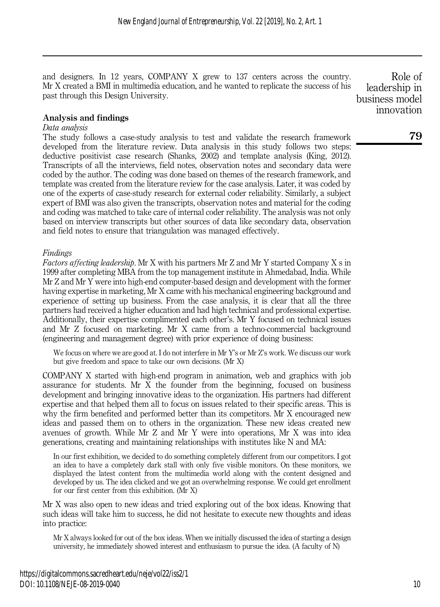and designers. In 12 years, COMPANY X grew to 137 centers across the country. Mr X created a BMI in multimedia education, and he wanted to replicate the success of his past through this Design University.

Analysis and findings

# Data analysis

The study follows a case-study analysis to test and validate the research framework developed from the literature review. Data analysis in this study follows two steps: deductive positivist case research (Shanks, 2002) and template analysis (King, 2012). Transcripts of all the interviews, field notes, observation notes and secondary data were coded by the author. The coding was done based on themes of the research framework, and template was created from the literature review for the case analysis. Later, it was coded by one of the experts of case-study research for external coder reliability. Similarly, a subject expert of BMI was also given the transcripts, observation notes and material for the coding and coding was matched to take care of internal coder reliability. The analysis was not only based on interview transcripts but other sources of data like secondary data, observation and field notes to ensure that triangulation was managed effectively.

# Findings

Factors affecting leadership. Mr X with his partners Mr Z and Mr Y started Company X s in 1999 after completing MBA from the top management institute in Ahmedabad, India. While Mr Z and Mr Y were into high-end computer-based design and development with the former having expertise in marketing, Mr X came with his mechanical engineering background and experience of setting up business. From the case analysis, it is clear that all the three partners had received a higher education and had high technical and professional expertise. Additionally, their expertise complimented each other's. Mr Y focused on technical issues and Mr Z focused on marketing. Mr X came from a techno-commercial background (engineering and management degree) with prior experience of doing business:

We focus on where we are good at. I do not interfere in Mr Y's or Mr Z's work. We discuss our work but give freedom and space to take our own decisions. (Mr X)

COMPANY X started with high-end program in animation, web and graphics with job assurance for students. Mr X the founder from the beginning, focused on business development and bringing innovative ideas to the organization. His partners had different expertise and that helped them all to focus on issues related to their specific areas. This is why the firm benefited and performed better than its competitors. Mr X encouraged new ideas and passed them on to others in the organization. These new ideas created new avenues of growth. While Mr Z and Mr Y were into operations, Mr X was into idea generations, creating and maintaining relationships with institutes like N and MA:

In our first exhibition, we decided to do something completely different from our competitors. I got an idea to have a completely dark stall with only five visible monitors. On these monitors, we displayed the latest content from the multimedia world along with the content designed and developed by us. The idea clicked and we got an overwhelming response. We could get enrollment for our first center from this exhibition. (Mr X)

Mr X was also open to new ideas and tried exploring out of the box ideas. Knowing that such ideas will take him to success, he did not hesitate to execute new thoughts and ideas into practice:

Mr X always looked for out of the box ideas. When we initially discussed the idea of starting a design university, he immediately showed interest and enthusiasm to pursue the idea. (A faculty of N)

Role of leadership in business model innovation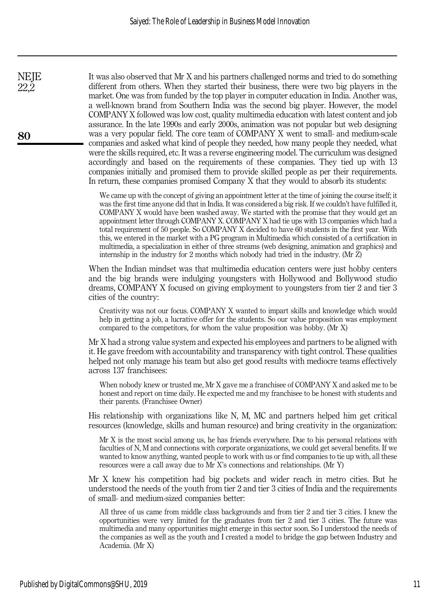It was also observed that Mr X and his partners challenged norms and tried to do something different from others. When they started their business, there were two big players in the market. One was from funded by the top player in computer education in India. Another was, a well-known brand from Southern India was the second big player. However, the model COMPANY X followed was low cost, quality multimedia education with latest content and job assurance. In the late 1990s and early 2000s, animation was not popular but web designing was a very popular field. The core team of COMPANY X went to small- and medium-scale companies and asked what kind of people they needed, how many people they needed, what were the skills required, etc. It was a reverse engineering model. The curriculum was designed accordingly and based on the requirements of these companies. They tied up with 13 companies initially and promised them to provide skilled people as per their requirements. In return, these companies promised Company X that they would to absorb its students:

We came up with the concept of giving an appointment letter at the time of joining the course itself; it was the first time anyone did that in India. It was considered a big risk. If we couldn't have fulfilled it, COMPANY X would have been washed away. We started with the promise that they would get an appointment letter through COMPANY X. COMPANY X had tie ups with 13 companies which had a total requirement of 50 people. So COMPANY X decided to have 60 students in the first year. With this, we entered in the market with a PG program in Multimedia which consisted of a certification in multimedia, a specialization in either of three streams (web designing, animation and graphics) and internship in the industry for 2 months which nobody had tried in the industry. (Mr Z)

When the Indian mindset was that multimedia education centers were just hobby centers and the big brands were indulging youngsters with Hollywood and Bollywood studio dreams, COMPANY X focused on giving employment to youngsters from tier 2 and tier 3 cities of the country:

Creativity was not our focus. COMPANY X wanted to impart skills and knowledge which would help in getting a job, a lucrative offer for the students. So our value proposition was employment compared to the competitors, for whom the value proposition was hobby. (Mr X)

Mr X had a strong value system and expected his employees and partners to be aligned with it. He gave freedom with accountability and transparency with tight control. These qualities helped not only manage his team but also get good results with mediocre teams effectively across 137 franchisees:

When nobody knew or trusted me, Mr X gave me a franchisee of COMPANY X and asked me to be honest and report on time daily. He expected me and my franchisee to be honest with students and their parents. (Franchisee Owner)

His relationship with organizations like N, M, MC and partners helped him get critical resources (knowledge, skills and human resource) and bring creativity in the organization:

Mr X is the most social among us, he has friends everywhere. Due to his personal relations with faculties of N, M and connections with corporate organizations, we could get several benefits. If we wanted to know anything, wanted people to work with us or find companies to tie up with, all these resources were a call away due to Mr X's connections and relationships. (Mr Y)

Mr X knew his competition had big pockets and wider reach in metro cities. But he understood the needs of the youth from tier 2 and tier 3 cities of India and the requirements of small- and medium-sized companies better:

All three of us came from middle class backgrounds and from tier 2 and tier 3 cities. I knew the opportunities were very limited for the graduates from tier 2 and tier 3 cities. The future was multimedia and many opportunities might emerge in this sector soon. So I understood the needs of the companies as well as the youth and I created a model to bridge the gap between Industry and Academia. (Mr X)

80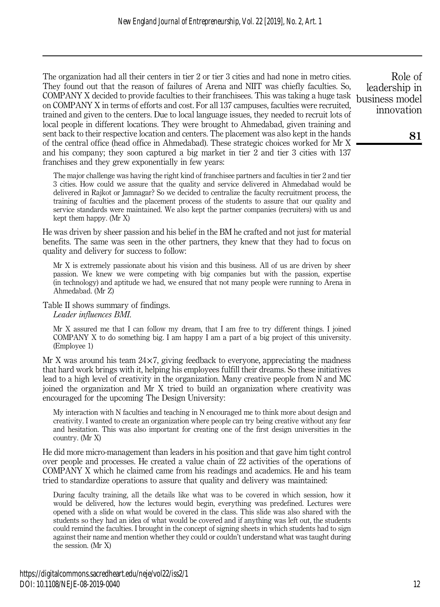The organization had all their centers in tier 2 or tier 3 cities and had none in metro cities. They found out that the reason of failures of Arena and NIIT was chiefly faculties. So, COMPANY X decided to provide faculties to their franchisees. This was taking a huge task on COMPANY X in terms of efforts and cost. For all 137 campuses, faculties were recruited, trained and given to the centers. Due to local language issues, they needed to recruit lots of local people in different locations. They were brought to Ahmedabad, given training and sent back to their respective location and centers. The placement was also kept in the hands of the central office (head office in Ahmedabad). These strategic choices worked for Mr X and his company; they soon captured a big market in tier 2 and tier 3 cities with 137 franchises and they grew exponentially in few years:

The major challenge was having the right kind of franchisee partners and faculties in tier 2 and tier 3 cities. How could we assure that the quality and service delivered in Ahmedabad would be delivered in Rajkot or Jamnagar? So we decided to centralize the faculty recruitment process, the training of faculties and the placement process of the students to assure that our quality and service standards were maintained. We also kept the partner companies (recruiters) with us and kept them happy. (Mr X)

He was driven by sheer passion and his belief in the BM he crafted and not just for material benefits. The same was seen in the other partners, they knew that they had to focus on quality and delivery for success to follow:

Mr X is extremely passionate about his vision and this business. All of us are driven by sheer passion. We knew we were competing with big companies but with the passion, expertise (in technology) and aptitude we had, we ensured that not many people were running to Arena in Ahmedabad. (Mr Z)

# Table II shows summary of findings.

Leader influences BMI.

Mr X assured me that I can follow my dream, that I am free to try different things. I joined COMPANY X to do something big. I am happy I am a part of a big project of this university. (Employee 1)

Mr X was around his team  $24 \times 7$ , giving feedback to everyone, appreciating the madness that hard work brings with it, helping his employees fulfill their dreams. So these initiatives lead to a high level of creativity in the organization. Many creative people from N and MC joined the organization and Mr X tried to build an organization where creativity was encouraged for the upcoming The Design University:

My interaction with N faculties and teaching in N encouraged me to think more about design and creativity. I wanted to create an organization where people can try being creative without any fear and hesitation. This was also important for creating one of the first design universities in the country. (Mr X)

He did more micro-management than leaders in his position and that gave him tight control over people and processes. He created a value chain of 22 activities of the operations of COMPANY X which he claimed came from his readings and academics. He and his team tried to standardize operations to assure that quality and delivery was maintained:

During faculty training, all the details like what was to be covered in which session, how it would be delivered, how the lectures would begin, everything was predefined. Lectures were opened with a slide on what would be covered in the class. This slide was also shared with the students so they had an idea of what would be covered and if anything was left out, the students could remind the faculties. I brought in the concept of signing sheets in which students had to sign against their name and mention whether they could or couldn't understand what was taught during the session. (Mr X)

Role of leadership in business model innovation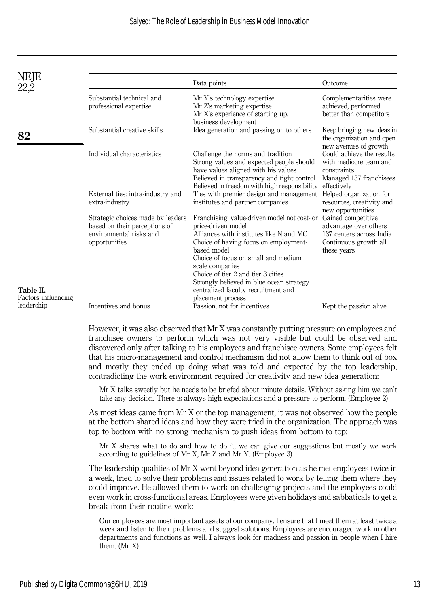| NEJE                             |                                                                                                                | Data points                                                                                                                                                                                                                                                                                                       | Outcome                                                                                                         |
|----------------------------------|----------------------------------------------------------------------------------------------------------------|-------------------------------------------------------------------------------------------------------------------------------------------------------------------------------------------------------------------------------------------------------------------------------------------------------------------|-----------------------------------------------------------------------------------------------------------------|
|                                  | Substantial technical and<br>professional expertise                                                            | Mr Y's technology expertise<br>Mr Z's marketing expertise<br>Mr X's experience of starting up,<br>business development                                                                                                                                                                                            | Complementarities were<br>achieved, performed<br>better than competitors                                        |
| 82                               | Substantial creative skills                                                                                    | Idea generation and passing on to others                                                                                                                                                                                                                                                                          | Keep bringing new ideas in<br>the organization and open<br>new avenues of growth                                |
|                                  | Individual characteristics                                                                                     | Challenge the norms and tradition<br>Strong values and expected people should<br>have values aligned with his values<br>Believed in transparency and tight control<br>Believed in freedom with high responsibility                                                                                                | Could achieve the results<br>with mediocre team and<br>constraints<br>Managed 137 franchisees<br>effectively    |
|                                  | External ties: intra-industry and<br>extra-industry                                                            | Ties with premier design and management<br>institutes and partner companies                                                                                                                                                                                                                                       | Helped organization for<br>resources, creativity and<br>new opportunities                                       |
|                                  | Strategic choices made by leaders<br>based on their perceptions of<br>environmental risks and<br>opportunities | Franchising, value-driven model not cost- or<br>price-driven model<br>Alliances with institutes like N and MC<br>Choice of having focus on employment-<br>based model<br>Choice of focus on small and medium<br>scale companies<br>Choice of tier 2 and tier 3 cities<br>Strongly believed in blue ocean strategy | Gained competitive<br>advantage over others<br>137 centers across India<br>Continuous growth all<br>these years |
| Table II.<br>Factors influencing |                                                                                                                | centralized faculty recruitment and<br>placement process                                                                                                                                                                                                                                                          |                                                                                                                 |

However, it was also observed that Mr X was constantly putting pressure on employees and franchisee owners to perform which was not very visible but could be observed and discovered only after talking to his employees and franchisee owners. Some employees felt that his micro-management and control mechanism did not allow them to think out of box and mostly they ended up doing what was told and expected by the top leadership, contradicting the work environment required for creativity and new idea generation:

Incentives and bonus Passion, not for incentives Kept the passion alive

Mr X talks sweetly but he needs to be briefed about minute details. Without asking him we can't take any decision. There is always high expectations and a pressure to perform. (Employee 2)

As most ideas came from Mr X or the top management, it was not observed how the people at the bottom shared ideas and how they were tried in the organization. The approach was top to bottom with no strong mechanism to push ideas from bottom to top:

Mr X shares what to do and how to do it, we can give our suggestions but mostly we work according to guidelines of Mr X, Mr Z and Mr Y. (Employee 3)

The leadership qualities of Mr X went beyond idea generation as he met employees twice in a week, tried to solve their problems and issues related to work by telling them where they could improve. He allowed them to work on challenging projects and the employees could even work in cross-functional areas. Employees were given holidays and sabbaticals to get a break from their routine work:

Our employees are most important assets of our company. I ensure that I meet them at least twice a week and listen to their problems and suggest solutions. Employees are encouraged work in other departments and functions as well. I always look for madness and passion in people when I hire them. (Mr X)

leadership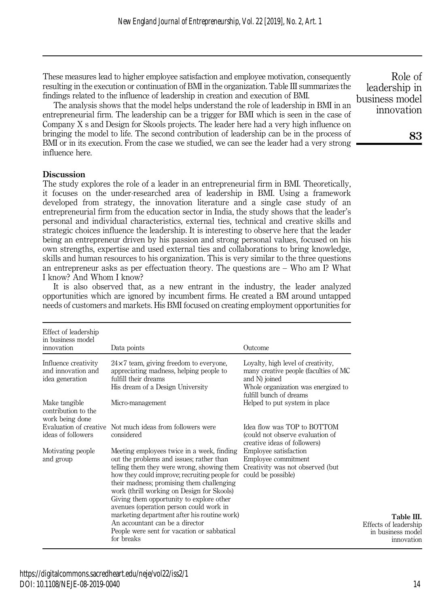These measures lead to higher employee satisfaction and employee motivation, consequently resulting in the execution or continuation of BMI in the organization. Table III summarizes the findings related to the influence of leadership in creation and execution of BMI.

The analysis shows that the model helps understand the role of leadership in BMI in an entrepreneurial firm. The leadership can be a trigger for BMI which is seen in the case of Company X s and Design for Skools projects. The leader here had a very high influence on bringing the model to life. The second contribution of leadership can be in the process of BMI or in its execution. From the case we studied, we can see the leader had a very strong influence here.

## **Discussion**

The study explores the role of a leader in an entrepreneurial firm in BMI. Theoretically, it focuses on the under-researched area of leadership in BMI. Using a framework developed from strategy, the innovation literature and a single case study of an entrepreneurial firm from the education sector in India, the study shows that the leader's personal and individual characteristics, external ties, technical and creative skills and strategic choices influence the leadership. It is interesting to observe here that the leader being an entrepreneur driven by his passion and strong personal values, focused on his own strengths, expertise and used external ties and collaborations to bring knowledge, skills and human resources to his organization. This is very similar to the three questions an entrepreneur asks as per effectuation theory. The questions are – Who am I? What I know? And Whom I know?

It is also observed that, as a new entrant in the industry, the leader analyzed opportunities which are ignored by incumbent firms. He created a BM around untapped needs of customers and markets. His BMI focused on creating employment opportunities for

| Effect of leadership<br>in business model<br>innovation       | Data points                                                                                                                                                                                                                                                                                                                                                             | Outcome                                                                                                                                                        |                                                                        |
|---------------------------------------------------------------|-------------------------------------------------------------------------------------------------------------------------------------------------------------------------------------------------------------------------------------------------------------------------------------------------------------------------------------------------------------------------|----------------------------------------------------------------------------------------------------------------------------------------------------------------|------------------------------------------------------------------------|
| Influence creativity<br>and innovation and<br>idea generation | $24\times7$ team, giving freedom to everyone,<br>appreciating madness, helping people to<br>fulfill their dreams<br>His dream of a Design University                                                                                                                                                                                                                    | Loyalty, high level of creativity,<br>many creative people (faculties of MC<br>and N) joined<br>Whole organization was energized to<br>fulfill bunch of dreams |                                                                        |
| Make tangible<br>contribution to the<br>work being done       | Micro-management                                                                                                                                                                                                                                                                                                                                                        | Helped to put system in place                                                                                                                                  |                                                                        |
| ideas of followers                                            | Evaluation of creative Not much ideas from followers were<br>considered                                                                                                                                                                                                                                                                                                 | Idea flow was TOP to BOTTOM<br>(could not observe evaluation of<br>creative ideas of followers)                                                                |                                                                        |
| Motivating people.<br>and group                               | Meeting employees twice in a week, finding<br>out the problems and issues; rather than<br>telling them they were wrong, showing them<br>how they could improve; recruiting people for<br>their madness; promising them challenging<br>work (thrill working on Design for Skools)<br>Giving them opportunity to explore other<br>avenues (operation person could work in | Employee satisfaction<br>Employee commitment<br>Creativity was not observed (but)<br>could be possible)                                                        |                                                                        |
|                                                               | marketing department after his routine work)<br>An accountant can be a director<br>People were sent for vacation or sabbatical<br>for breaks                                                                                                                                                                                                                            |                                                                                                                                                                | Table III.<br>Effects of leadership<br>in business model<br>innovation |

Role of leadership in business model innovation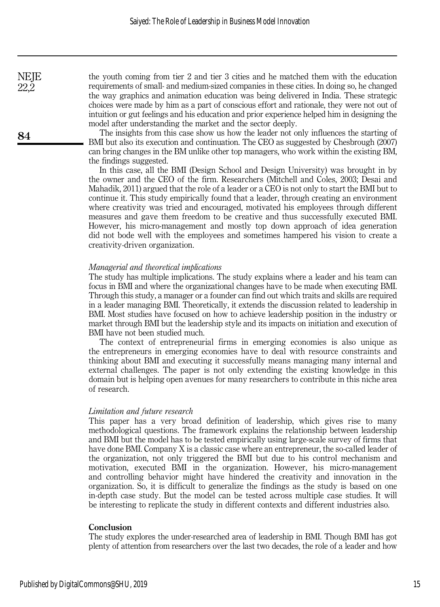the youth coming from tier 2 and tier 3 cities and he matched them with the education requirements of small- and medium-sized companies in these cities. In doing so, he changed the way graphics and animation education was being delivered in India. These strategic choices were made by him as a part of conscious effort and rationale, they were not out of intuition or gut feelings and his education and prior experience helped him in designing the model after understanding the market and the sector deeply.

The insights from this case show us how the leader not only influences the starting of BMI but also its execution and continuation. The CEO as suggested by Chesbrough (2007) can bring changes in the BM unlike other top managers, who work within the existing BM, the findings suggested.

In this case, all the BMI (Design School and Design University) was brought in by the owner and the CEO of the firm. Researchers (Mitchell and Coles, 2003; Desai and Mahadik, 2011) argued that the role of a leader or a CEO is not only to start the BMI but to continue it. This study empirically found that a leader, through creating an environment where creativity was tried and encouraged, motivated his employees through different measures and gave them freedom to be creative and thus successfully executed BMI. However, his micro-management and mostly top down approach of idea generation did not bode well with the employees and sometimes hampered his vision to create a creativity-driven organization.

#### Managerial and theoretical implications

The study has multiple implications. The study explains where a leader and his team can focus in BMI and where the organizational changes have to be made when executing BMI. Through this study, a manager or a founder can find out which traits and skills are required in a leader managing BMI. Theoretically, it extends the discussion related to leadership in BMI. Most studies have focused on how to achieve leadership position in the industry or market through BMI but the leadership style and its impacts on initiation and execution of BMI have not been studied much.

The context of entrepreneurial firms in emerging economies is also unique as the entrepreneurs in emerging economies have to deal with resource constraints and thinking about BMI and executing it successfully means managing many internal and external challenges. The paper is not only extending the existing knowledge in this domain but is helping open avenues for many researchers to contribute in this niche area of research.

#### Limitation and future research

This paper has a very broad definition of leadership, which gives rise to many methodological questions. The framework explains the relationship between leadership and BMI but the model has to be tested empirically using large-scale survey of firms that have done BMI. Company X is a classic case where an entrepreneur, the so-called leader of the organization, not only triggered the BMI but due to his control mechanism and motivation, executed BMI in the organization. However, his micro-management and controlling behavior might have hindered the creativity and innovation in the organization. So, it is difficult to generalize the findings as the study is based on one in-depth case study. But the model can be tested across multiple case studies. It will be interesting to replicate the study in different contexts and different industries also.

#### Conclusion

The study explores the under-researched area of leadership in BMI. Though BMI has got plenty of attention from researchers over the last two decades, the role of a leader and how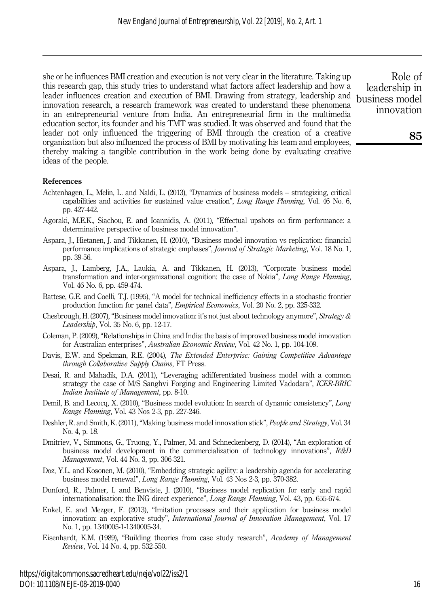she or he influences BMI creation and execution is not very clear in the literature. Taking up this research gap, this study tries to understand what factors affect leadership and how a leader influences creation and execution of BMI. Drawing from strategy, leadership and innovation research, a research framework was created to understand these phenomena in an entrepreneurial venture from India. An entrepreneurial firm in the multimedia education sector, its founder and his TMT was studied. It was observed and found that the leader not only influenced the triggering of BMI through the creation of a creative organization but also influenced the process of BMI by motivating his team and employees, thereby making a tangible contribution in the work being done by evaluating creative ideas of the people.

Role of leadership in business model innovation

#### References

- Achtenhagen, L., Melin, L. and Naldi, L. (2013), "Dynamics of business models strategizing, critical capabilities and activities for sustained value creation", Long Range Planning, Vol. 46 No. 6, pp. 427-442.
- Agoraki, M.E.K., Siachou, E. and Ioannidis, A. (2011), "Effectual upshots on firm performance: a determinative perspective of business model innovation".
- Aspara, J., Hietanen, J. and Tikkanen, H. (2010), "Business model innovation vs replication: financial performance implications of strategic emphases", Journal of Strategic Marketing, Vol. 18 No. 1, pp. 39-56.
- Aspara, J., Lamberg, J.A., Laukia, A. and Tikkanen, H. (2013), "Corporate business model transformation and inter-organizational cognition: the case of Nokia", Long Range Planning, Vol. 46 No. 6, pp. 459-474.
- Battese, G.E. and Coelli, T.J. (1995), "A model for technical inefficiency effects in a stochastic frontier production function for panel data", Empirical Economics, Vol. 20 No. 2, pp. 325-332.
- Chesbrough, H. (2007), "Business model innovation: it's not just about technology anymore", Strategy  $\&$ Leadership, Vol. 35 No. 6, pp. 12-17.
- Coleman, P. (2009), "Relationships in China and India: the basis of improved business model innovation for Australian enterprises", Australian Economic Review, Vol. 42 No. 1, pp. 104-109.
- Davis, E.W. and Spekman, R.E. (2004), The Extended Enterprise: Gaining Competitive Advantage through Collaborative Supply Chains, FT Press.
- Desai, R. and Mahadik, D.A. (2011), "Leveraging adifferentiated business model with a common strategy the case of M/S Sanghvi Forging and Engineering Limited Vadodara", ICER-BRIC Indian Institute of Management, pp. 8-10.
- Demil, B. and Lecocq, X. (2010), "Business model evolution: In search of dynamic consistency", Long Range Planning, Vol. 43 Nos 2-3, pp. 227-246.
- Deshler, R. and Smith, K. (2011), "Making business model innovation stick", *People and Strategy*, Vol. 34 No. 4, p. 18.
- Dmitriev, V., Simmons, G., Truong, Y., Palmer, M. and Schneckenberg, D. (2014), "An exploration of business model development in the commercialization of technology innovations", R&D Management, Vol. 44 No. 3, pp. 306-321.
- Doz, Y.L. and Kosonen, M. (2010), "Embedding strategic agility: a leadership agenda for accelerating business model renewal", Long Range Planning, Vol. 43 Nos 2-3, pp. 370-382.
- Dunford, R., Palmer, I. and Benviste, J. (2010), "Business model replication for early and rapid internationalisation: the ING direct experience", Long Range Planning, Vol. 43, pp. 655-674.
- Enkel, E. and Mezger, F. (2013), "Imitation processes and their application for business model innovation: an explorative study", *International Journal of Innovation Management*, Vol. 17 No. 1, pp. 1340005-1-1340005-34.
- Eisenhardt, K.M. (1989), "Building theories from case study research", Academy of Management Review, Vol. 14 No. 4, pp. 532-550.

https://digitalcommons.sacredheart.edu/neje/vol22/iss2/1 DOI: 10.1108/NEJE-08-2019-0040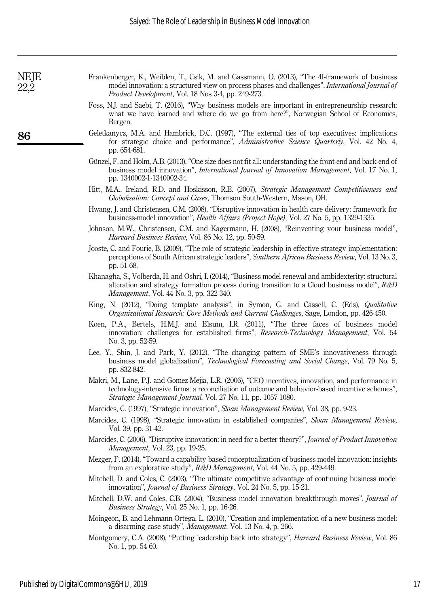| NEJE | Frankenberger, K., Weiblen, T., Csik, M. and Gassmann, O. (2013), "The 4I-framework of business<br>model innovation: a structured view on process phases and challenges", International Journal of<br><i>Product Development, Vol. 18 Nos 3-4, pp. 249-273.</i>              |
|------|------------------------------------------------------------------------------------------------------------------------------------------------------------------------------------------------------------------------------------------------------------------------------|
|      | Foss, N.J. and Saebi, T. (2016), "Why business models are important in entrepreneurship research:<br>what we have learned and where do we go from here?", Norwegian School of Economics,<br>Bergen.                                                                          |
| 86   | Geletkanycz, M.A. and Hambrick, D.C. (1997), "The external ties of top executives: implications<br>for strategic choice and performance", Administrative Science Quarterly, Vol. 42 No. 4,<br>pp. 654-681.                                                                   |
|      | Günzel, F. and Holm, A.B. (2013), "One size does not fit all: understanding the front-end and back-end of<br>business model innovation", <i>International Journal of Innovation Management</i> , Vol. 17 No. 1,<br>pp. 1340002-1-1340002-34.                                 |
|      | Hitt, M.A., Ireland, R.D. and Hoskisson, R.E. (2007), Strategic Management Competitiveness and<br>Globalization: Concept and Cases, Thomson South-Western, Mason, OH.                                                                                                        |
|      | Hwang, J. and Christensen, C.M. (2008), "Disruptive innovation in health care delivery: framework for<br>business-model innovation", <i>Health Affairs (Project Hope)</i> , Vol. 27 No. 5, pp. 1329-1335.                                                                    |
|      | Johnson, M.W., Christensen, C.M. and Kagermann, H. (2008), "Reinventing your business model",<br><i>Harvard Business Review, Vol. 86 No. 12, pp. 50-59.</i>                                                                                                                  |
|      | Jooste, C. and Fourie, B. (2009), "The role of strategic leadership in effective strategy implementation:<br>perceptions of South African strategic leaders", Southern African Business Review, Vol. 13 No. 3,<br>pp. 51-68.                                                 |
|      | Khanagha, S., Volberda, H. and Oshri, I. (2014), "Business model renewal and ambidexterity: structural<br>alteration and strategy formation process during transition to a Cloud business model", $R\&D$<br>Management, Vol. 44 No. 3, pp. 322-340.                          |
|      | King, N. (2012), "Doing template analysis", in Symon, G. and Cassell, C. (Eds), <i>Qualitative</i><br><i>Organizational Research: Core Methods and Current Challenges, Sage, London, pp. 426-450.</i>                                                                        |
|      | Koen, P.A., Bertels, H.M.J. and Elsum, I.R. (2011), "The three faces of business model<br>innovation: challenges for established firms", Research-Technology Management, Vol. 54<br>No. 3, pp. 52-59.                                                                        |
|      | Lee, Y., Shin, J. and Park, Y. (2012), "The changing pattern of SME's innovativeness through<br>business model globalization", Technological Forecasting and Social Change, Vol. 79 No. 5,<br>pp. 832-842.                                                                   |
|      | Makri, M., Lane, P.J. and Gomez-Mejia, L.R. (2006), "CEO incentives, innovation, and performance in<br>technology-intensive firms: a reconciliation of outcome and behavior-based incentive schemes",<br><i>Strategic Management Journal, Vol. 27 No. 11, pp. 1057-1080.</i> |
|      | Marcides, C. (1997), "Strategic innovation", Sloan Management Review, Vol. 38, pp. 9-23.                                                                                                                                                                                     |
|      | Marcides, C. (1998), "Strategic innovation in established companies", Sloan Management Review,<br>Vol. 39, pp. 31-42.                                                                                                                                                        |
|      | Marcides, C. (2006), "Disruptive innovation: in need for a better theory?", Journal of Product Innovation<br><i>Management, Vol. 23, pp. 19-25.</i>                                                                                                                          |
|      | Mezger, F. (2014), "Toward a capability-based conceptualization of business model innovation: insights<br>from an explorative study", R&D Management, Vol. 44 No. 5, pp. 429-449.                                                                                            |
|      | Mitchell, D. and Coles, C. (2003), "The ultimate competitive advantage of continuing business model<br>innovation", Journal of Business Strategy, Vol. 24 No. 5, pp. 15-21.                                                                                                  |
|      | Mitchell, D.W. and Coles, C.B. (2004), "Business model innovation breakthrough moves", Journal of<br>Business Strategy, Vol. 25 No. 1, pp. 16-26.                                                                                                                            |
|      | Moingeon, B. and Lehmann-Ortega, L. (2010), "Creation and implementation of a new business model:<br>a disarming case study", Management, Vol. 13 No. 4, p. 266.                                                                                                             |
|      | Montgomery, C.A. (2008), "Putting leadership back into strategy", Harvard Business Review, Vol. 86<br>No. 1, pp. 54-60.                                                                                                                                                      |
|      |                                                                                                                                                                                                                                                                              |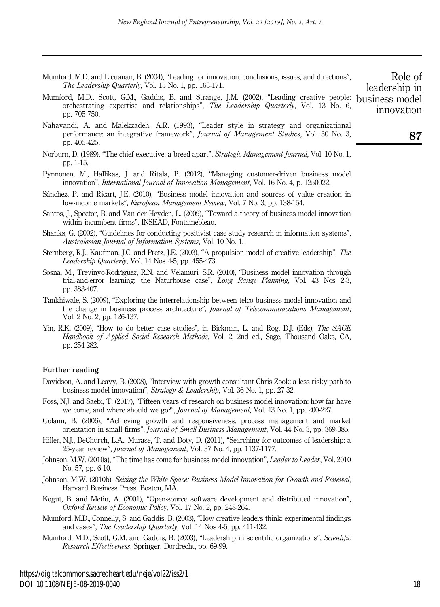- Mumford, M.D. and Licuanan, B. (2004), "Leading for innovation: conclusions, issues, and directions", The Leadership Quarterly, Vol. 15 No. 1, pp. 163-171.
- Mumford, M.D., Scott, G.M., Gaddis, B. and Strange, J.M. (2002), "Leading creative people: business model orchestrating expertise and relationships", The Leadership Quarterly, Vol. 13 No. 6, pp. 705-750.
- Nahavandi, A. and Malekzadeh, A.R. (1993), "Leader style in strategy and organizational performance: an integrative framework", *Journal of Management Studies*, Vol. 30 No. 3, pp. 405-425.
- Norburn, D. (1989), "The chief executive: a breed apart", Strategic Management Journal, Vol. 10 No. 1, pp. 1-15.
- Pynnonen, M., Hallikas, J. and Ritala, P. (2012), "Managing customer-driven business model innovation", *International Journal of Innovation Management*, Vol. 16 No. 4, p. 1250022.
- Sánchez, P. and Ricart, J.E. (2010), "Business model innovation and sources of value creation in low-income markets", European Management Review, Vol. 7 No. 3, pp. 138-154.
- Santos, J., Spector, B. and Van der Heyden, L. (2009), "Toward a theory of business model innovation within incumbent firms", INSEAD, Fontainebleau.
- Shanks, G. (2002), "Guidelines for conducting positivist case study research in information systems", Australasian Journal of Information Systems, Vol. 10 No. 1.
- Sternberg, R.J., Kaufman, J.C. and Pretz, J.E. (2003), "A propulsion model of creative leadership", The Leadership Quarterly, Vol. 14 Nos 4-5, pp. 455-473.
- Sosna, M., Trevinyo-Rodríguez, R.N. and Velamuri, S.R. (2010), "Business model innovation through trial-and-error learning: the Naturhouse case", Long Range Planning, Vol. 43 Nos 2-3, pp. 383-407.
- Tankhiwale, S. (2009), "Exploring the interrelationship between telco business model innovation and the change in business process architecture", Journal of Telecommunications Management, Vol. 2 No. 2, pp. 126-137.
- Yin, R.K. (2009), "How to do better case studies", in Bickman, L. and Rog, D.J. (Eds), The SAGE Handbook of Applied Social Research Methods, Vol. 2, 2nd ed., Sage, Thousand Oaks, CA, pp. 254-282.

#### Further reading

- Davidson, A. and Leavy, B. (2008), "Interview with growth consultant Chris Zook: a less risky path to business model innovation", Strategy & Leadership, Vol. 36 No. 1, pp. 27-32.
- Foss, N.J. and Saebi, T. (2017), "Fifteen years of research on business model innovation: how far have we come, and where should we go?", *Journal of Management*, Vol. 43 No. 1, pp. 200-227.
- Golann, B. (2006), "Achieving growth and responsiveness: process management and market orientation in small firms", Journal of Small Business Management, Vol. 44 No. 3, pp. 369-385.
- Hiller, N.J., DeChurch, L.A., Murase, T. and Doty, D. (2011), "Searching for outcomes of leadership: a 25-year review", *Journal of Management*, Vol. 37 No. 4, pp. 1137-1177.
- Johnson, M.W. (2010a), "The time has come for business model innovation", Leader to Leader, Vol. 2010 No. 57, pp. 6-10.
- Johnson, M.W. (2010b), Seizing the White Space: Business Model Innovation for Growth and Renewal, Harvard Business Press, Boston, MA.
- Kogut, B. and Metiu, A. (2001), "Open-source software development and distributed innovation", Oxford Review of Economic Policy, Vol. 17 No. 2, pp. 248-264.
- Mumford, M.D., Connelly, S. and Gaddis, B. (2003), "How creative leaders think: experimental findings and cases", The Leadership Quarterly, Vol. 14 Nos 4-5, pp. 411-432.
- Mumford, M.D., Scott, G.M. and Gaddis, B. (2003), "Leadership in scientific organizations", Scientific Research Effectiveness, Springer, Dordrecht, pp. 69-99.

https://digitalcommons.sacredheart.edu/neje/vol22/iss2/1 DOI: 10.1108/NEJE-08-2019-0040

innovation

Role of leadership in